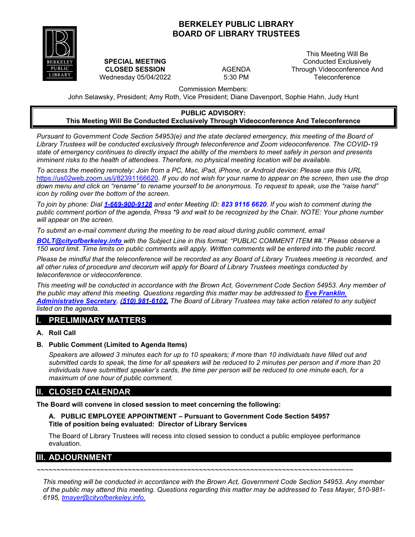## **BERKELEY PUBLIC LIBRARY BOARD OF LIBRARY TRUSTEES**



**SPECIAL MEETING CLOSED SESSION** Wednesday 05/04/2022

AGENDA 5:30 PM

This Meeting Will Be Conducted Exclusively Through Videoconference And **Teleconference** 

Commission Members:

John Selawsky, President; Amy Roth, Vice President; Diane Davenport, Sophie Hahn, Judy Hunt

#### **PUBLIC ADVISORY: This Meeting Will Be Conducted Exclusively Through Videoconference And Teleconference**

*Pursuant to Government Code Section 54953(e) and the state declared emergency, this meeting of the Board of Library Trustees will be conducted exclusively through teleconference and Zoom videoconference. The COVID-19 state of emergency continues to directly impact the ability of the members to meet safely in person and presents imminent risks to the health of attendees. Therefore, no physical meeting location will be available.* 

*To access the meeting remotely: Join from a PC, Mac, iPad, iPhone, or Android device: Please use this URL* [https://us02web.zoom.us/j/82391166620.](https://us02web.zoom.us/j/82391166620) *If you do not wish for your name to appear on the screen, then use the drop down menu and click on "rename" to rename yourself to be anonymous. To request to speak, use the "raise hand" icon by rolling over the bottom of the screen.*

*To join by phone: Dial 1-669-900-9128 and enter Meeting ID: 823 9116 6620*. *If you wish to comment during the public comment portion of the agenda, Press \*9 and wait to be recognized by the Chair. NOTE: Your phone number will appear on the screen.*

To submit an e-mail comment during the meeting to be read aloud during public comment, email

*[BOLT@cityofberkeley.info](mailto:BOLT@cityofberkeley.info) with the Subject Line in this format: "PUBLIC COMMENT ITEM ##." Please observe a 150 word limit. Time limits on public comments will apply. Written comments will be entered into the public record.*

*Please be mindful that the teleconference will be recorded as any Board of Library Trustees meeting is recorded, and all other rules of procedure and decorum will apply for Board of Library Trustees meetings conducted by teleconference or videoconference.*

*This meeting will be conducted in accordance with the Brown Act, Government Code Section 54953. Any member of the public may attend this meeting. Questions regarding this matter may be addressed to [Eve Franklin](mailto:BOLT@cityofberkeley.info), [Administrative Secretary](mailto:BOLT@cityofberkeley.info), (510) 981-6102. The Board of Library Trustees may take action related to any subject listed on the agenda.*

# **I. PRELIMINARY MATTERS**

### **A. Roll Call**

### **B. Public Comment (Limited to Agenda Items)**

*Speakers are allowed 3 minutes each for up to 10 speakers; if more than 10 individuals have filled out and submitted cards to speak,* the *time for all speakers will be reduced to 2 minutes per person and if more than 20 individuals have submitted speaker's cards, the time per person will be reduced to one minute each, for a maximum of one hour of public comment.*

### **II. CLOSED CALENDAR**

**The Board will convene in closed session to meet concerning the following:**

**A. PUBLIC EMPLOYEE APPOINTMENT – Pursuant to Government Code Section 54957 Title of position being evaluated: Director of Library Services**

The Board of Library Trustees will recess into closed session to conduct a public employee performance evaluation.

# **III. ADJOURNMENT**

*~~~~~~~~~~~~~~~~~~~~~~~~~~~~~~~~~~~~~~~~~~~~~~~~~~~~~~~~~~~~~~~~~~~~~~~~~~~~~~~~*

*This meeting will be conducted in accordance with the Brown Act, Government Code Section 54953. Any member of the public may attend this meeting. Questions regarding this matter may be addressed to Tess Mayer, 510-981- 6195, [tmayer@cityofberkeley.info.](mailto:tmayer@cityofberkeley.info.)*